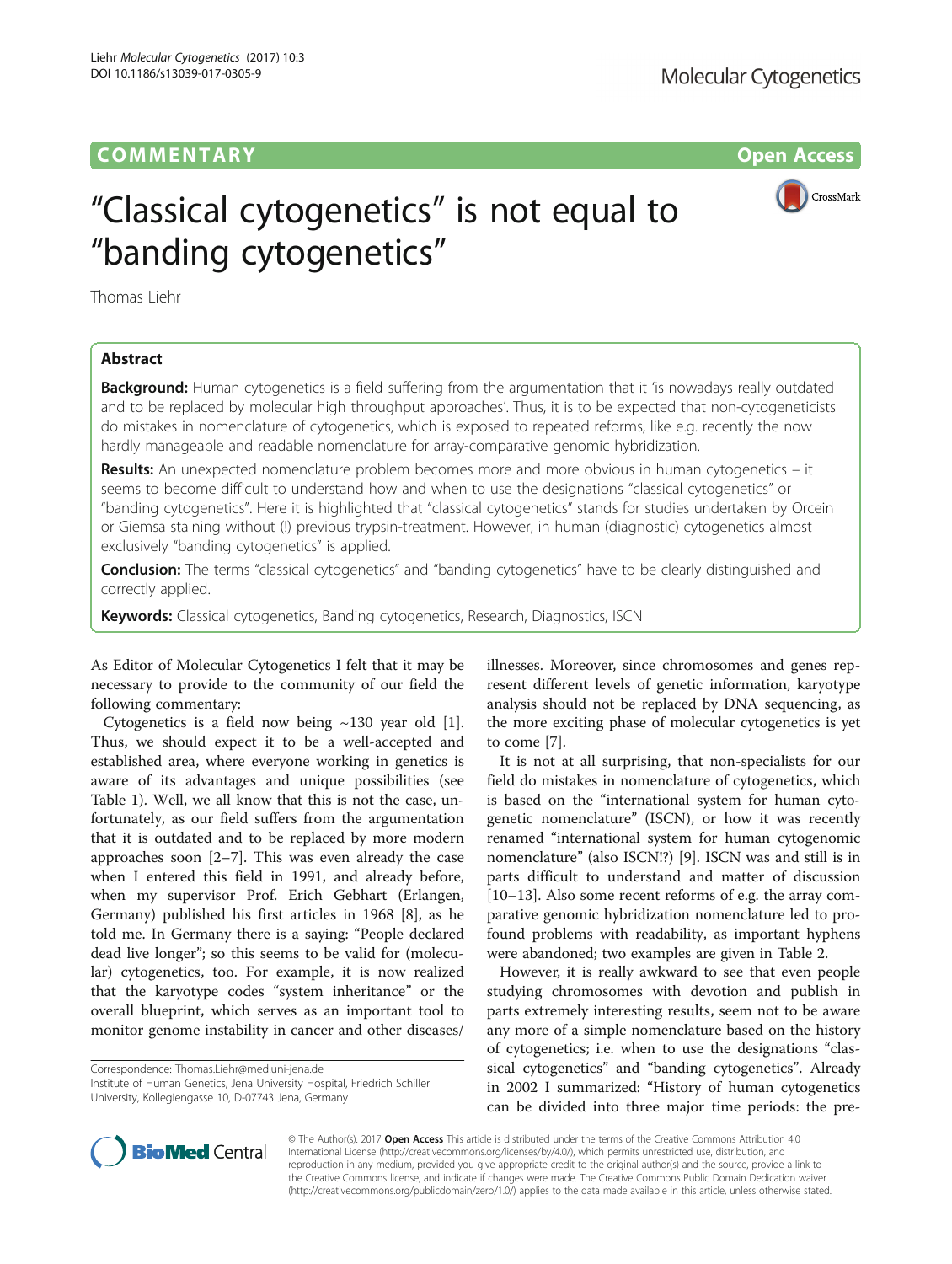# COMM EN TARY Open Access



# "Classical cytogenetics" is not equal to "banding cytogenetics"

Thomas Liehr

# Abstract

Background: Human cytogenetics is a field suffering from the argumentation that it 'is nowadays really outdated and to be replaced by molecular high throughput approaches'. Thus, it is to be expected that non-cytogeneticists do mistakes in nomenclature of cytogenetics, which is exposed to repeated reforms, like e.g. recently the now hardly manageable and readable nomenclature for array-comparative genomic hybridization.

Results: An unexpected nomenclature problem becomes more and more obvious in human cytogenetics – it seems to become difficult to understand how and when to use the designations "classical cytogenetics" or "banding cytogenetics". Here it is highlighted that "classical cytogenetics" stands for studies undertaken by Orcein or Giemsa staining without (!) previous trypsin-treatment. However, in human (diagnostic) cytogenetics almost exclusively "banding cytogenetics" is applied.

**Conclusion:** The terms "classical cytogenetics" and "banding cytogenetics" have to be clearly distinguished and correctly applied.

Keywords: Classical cytogenetics, Banding cytogenetics, Research, Diagnostics, ISCN

As Editor of Molecular Cytogenetics I felt that it may be necessary to provide to the community of our field the following commentary:

Cytogenetics is a field now being  $\sim$ 130 year old [\[1](#page-1-0)]. Thus, we should expect it to be a well-accepted and established area, where everyone working in genetics is aware of its advantages and unique possibilities (see Table [1\)](#page-1-0). Well, we all know that this is not the case, unfortunately, as our field suffers from the argumentation that it is outdated and to be replaced by more modern approaches soon [[2](#page-1-0)–[7](#page-1-0)]. This was even already the case when I entered this field in 1991, and already before, when my supervisor Prof. Erich Gebhart (Erlangen, Germany) published his first articles in 1968 [[8\]](#page-1-0), as he told me. In Germany there is a saying: "People declared dead live longer"; so this seems to be valid for (molecular) cytogenetics, too. For example, it is now realized that the karyotype codes "system inheritance" or the overall blueprint, which serves as an important tool to monitor genome instability in cancer and other diseases/

Correspondence: [Thomas.Liehr@med.uni-jena.de](mailto:Thomas.Liehr@med.uni-jena.de)

Institute of Human Genetics, Jena University Hospital, Friedrich Schiller University, Kollegiengasse 10, D-07743 Jena, Germany

illnesses. Moreover, since chromosomes and genes represent different levels of genetic information, karyotype analysis should not be replaced by DNA sequencing, as the more exciting phase of molecular cytogenetics is yet to come [\[7](#page-1-0)].

It is not at all surprising, that non-specialists for our field do mistakes in nomenclature of cytogenetics, which is based on the "international system for human cytogenetic nomenclature" (ISCN), or how it was recently renamed "international system for human cytogenomic nomenclature" (also ISCN!?) [[9\]](#page-1-0). ISCN was and still is in parts difficult to understand and matter of discussion [[10](#page-2-0)–[13](#page-2-0)]. Also some recent reforms of e.g. the array comparative genomic hybridization nomenclature led to profound problems with readability, as important hyphens were abandoned; two examples are given in Table [2](#page-1-0).

However, it is really awkward to see that even people studying chromosomes with devotion and publish in parts extremely interesting results, seem not to be aware any more of a simple nomenclature based on the history of cytogenetics; i.e. when to use the designations "classical cytogenetics" and "banding cytogenetics". Already in 2002 I summarized: "History of human cytogenetics can be divided into three major time periods: the pre-



© The Author(s). 2017 Open Access This article is distributed under the terms of the Creative Commons Attribution 4.0 International License [\(http://creativecommons.org/licenses/by/4.0/](http://creativecommons.org/licenses/by/4.0/)), which permits unrestricted use, distribution, and reproduction in any medium, provided you give appropriate credit to the original author(s) and the source, provide a link to the Creative Commons license, and indicate if changes were made. The Creative Commons Public Domain Dedication waiver [\(http://creativecommons.org/publicdomain/zero/1.0/](http://creativecommons.org/publicdomain/zero/1.0/)) applies to the data made available in this article, unless otherwise stated.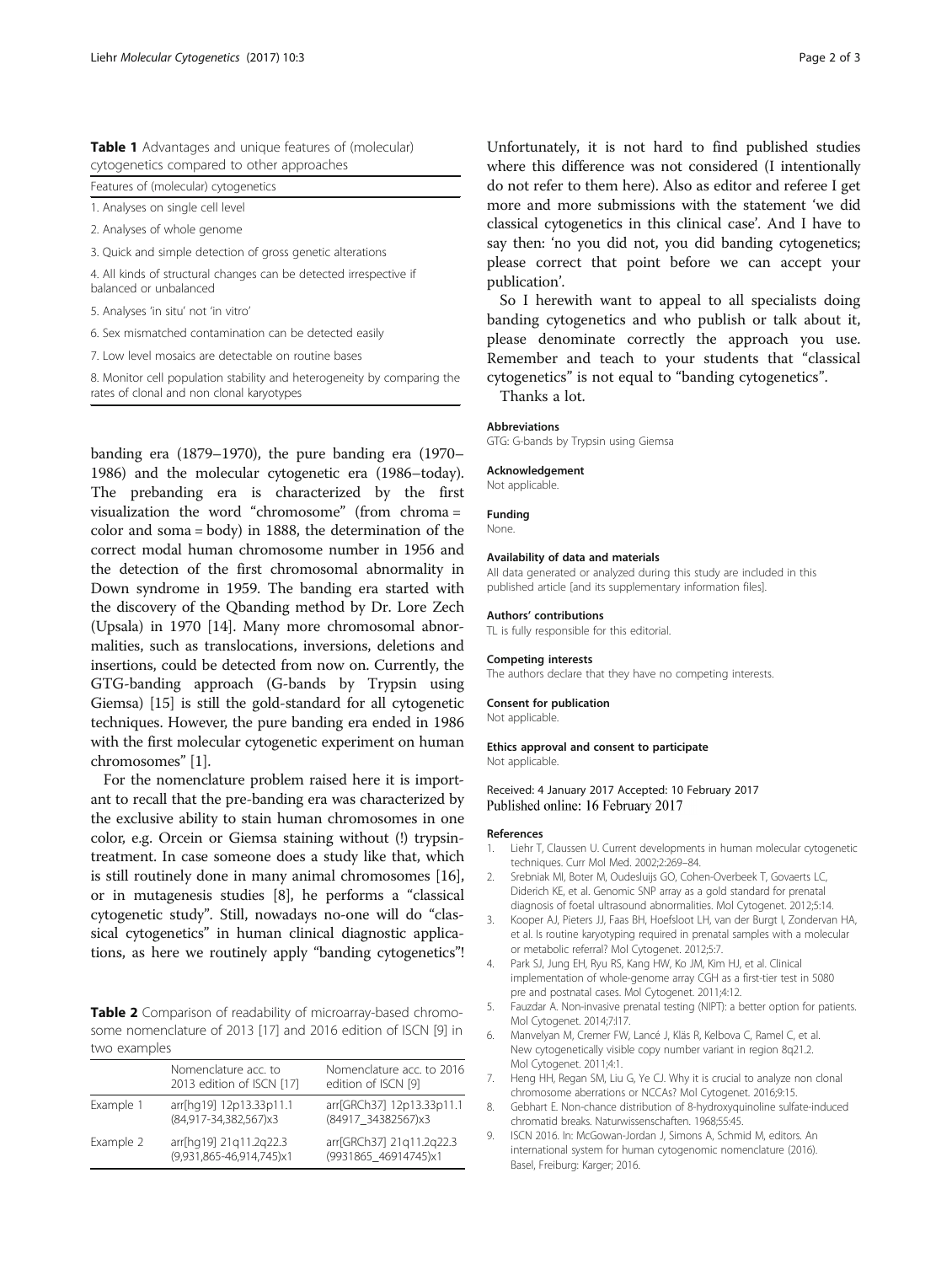<span id="page-1-0"></span>Table 1 Advantages and unique features of (molecular) cytogenetics compared to other approaches

|  | Features of (molecular) cytogenetics |  |
|--|--------------------------------------|--|
|  |                                      |  |

1. Analyses on single cell level

2. Analyses of whole genome

3. Quick and simple detection of gross genetic alterations

4. All kinds of structural changes can be detected irrespective if balanced or unbalanced

5. Analyses 'in situ' not 'in vitro'

6. Sex mismatched contamination can be detected easily

7. Low level mosaics are detectable on routine bases

8. Monitor cell population stability and heterogeneity by comparing the rates of clonal and non clonal karyotypes

banding era (1879–1970), the pure banding era (1970– 1986) and the molecular cytogenetic era (1986–today). The prebanding era is characterized by the first visualization the word "chromosome" (from chroma = color and soma = body) in 1888, the determination of the correct modal human chromosome number in 1956 and the detection of the first chromosomal abnormality in Down syndrome in 1959. The banding era started with the discovery of the Qbanding method by Dr. Lore Zech (Upsala) in 1970 [[14\]](#page-2-0). Many more chromosomal abnormalities, such as translocations, inversions, deletions and insertions, could be detected from now on. Currently, the GTG-banding approach (G-bands by Trypsin using Giemsa) [[15](#page-2-0)] is still the gold-standard for all cytogenetic techniques. However, the pure banding era ended in 1986 with the first molecular cytogenetic experiment on human chromosomes" [1].

For the nomenclature problem raised here it is important to recall that the pre-banding era was characterized by the exclusive ability to stain human chromosomes in one color, e.g. Orcein or Giemsa staining without (!) trypsintreatment. In case someone does a study like that, which is still routinely done in many animal chromosomes [[16](#page-2-0)], or in mutagenesis studies [8], he performs a "classical cytogenetic study". Still, nowadays no-one will do "classical cytogenetics" in human clinical diagnostic applications, as here we routinely apply "banding cytogenetics"!

Table 2 Comparison of readability of microarray-based chromosome nomenclature of 2013 [[17\]](#page-2-0) and 2016 edition of ISCN [9] in two examples

| $\cdots$  |                                                    |                                                  |  |  |
|-----------|----------------------------------------------------|--------------------------------------------------|--|--|
|           | Nomenclature acc. to<br>2013 edition of ISCN [17]  | Nomenclature acc. to 2016<br>edition of ISCN [9] |  |  |
| Example 1 | arr[hq19] 12p13.33p11.1<br>(84,917-34,382,567)x3   | arr[GRCh37] 12p13.33p11.1<br>(84917 34382567)x3  |  |  |
| Example 2 | arr[hq19] 21q11.2q22.3<br>(9,931,865-46,914,745)x1 | arr[GRCh37] 21q11.2q22.3<br>(9931865_46914745)x1 |  |  |

Unfortunately, it is not hard to find published studies where this difference was not considered (I intentionally do not refer to them here). Also as editor and referee I get more and more submissions with the statement 'we did classical cytogenetics in this clinical case'. And I have to say then: 'no you did not, you did banding cytogenetics; please correct that point before we can accept your publication'.

So I herewith want to appeal to all specialists doing banding cytogenetics and who publish or talk about it, please denominate correctly the approach you use. Remember and teach to your students that "classical cytogenetics" is not equal to "banding cytogenetics".

Thanks a lot.

## Abbreviations GTG: G-bands by Trypsin using Giemsa

Acknowledgement

Not applicable.

## Funding

None.

## Availability of data and materials

All data generated or analyzed during this study are included in this published article [and its supplementary information files].

#### Authors' contributions

TL is fully responsible for this editorial.

#### Competing interests

The authors declare that they have no competing interests.

### Consent for publication

Not applicable.

Ethics approval and consent to participate Not applicable.

Received: 4 January 2017 Accepted: 10 February 2017 Published online: 16 February 2017

#### References

- 1. Liehr T, Claussen U. Current developments in human molecular cytogenetic techniques. Curr Mol Med. 2002;2:269–84.
- 2. Srebniak MI, Boter M, Oudesluijs GO, Cohen-Overbeek T, Govaerts LC, Diderich KE, et al. Genomic SNP array as a gold standard for prenatal diagnosis of foetal ultrasound abnormalities. Mol Cytogenet. 2012;5:14.
- 3. Kooper AJ, Pieters JJ, Faas BH, Hoefsloot LH, van der Burgt I, Zondervan HA, et al. Is routine karyotyping required in prenatal samples with a molecular or metabolic referral? Mol Cytogenet. 2012;5:7.
- 4. Park SJ, Jung EH, Ryu RS, Kang HW, Ko JM, Kim HJ, et al. Clinical implementation of whole-genome array CGH as a first-tier test in 5080 pre and postnatal cases. Mol Cytogenet. 2011;4:12.
- 5. Fauzdar A. Non-invasive prenatal testing (NIPT): a better option for patients. Mol Cytogenet. 2014;7:I17.
- 6. Manvelyan M, Cremer FW, Lancé J, Kläs R, Kelbova C, Ramel C, et al. New cytogenetically visible copy number variant in region 8q21.2. Mol Cytogenet. 2011;4:1.
- 7. Heng HH, Regan SM, Liu G, Ye CJ. Why it is crucial to analyze non clonal chromosome aberrations or NCCAs? Mol Cytogenet. 2016;9:15.
- Gebhart E. Non-chance distribution of 8-hydroxyquinoline sulfate-induced chromatid breaks. Naturwissenschaften. 1968;55:45.
- 9. ISCN 2016. In: McGowan-Jordan J, Simons A, Schmid M, editors. An international system for human cytogenomic nomenclature (2016). Basel, Freiburg: Karger; 2016.